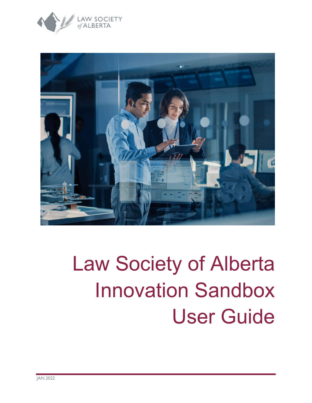



# Law Society of Alberta Innovation Sandbox User Guide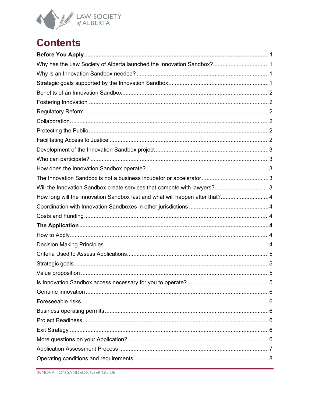

# **Contents**

| Why has the Law Society of Alberta launched the Innovation Sandbox? 1        |  |
|------------------------------------------------------------------------------|--|
|                                                                              |  |
|                                                                              |  |
|                                                                              |  |
|                                                                              |  |
|                                                                              |  |
|                                                                              |  |
|                                                                              |  |
|                                                                              |  |
|                                                                              |  |
|                                                                              |  |
|                                                                              |  |
|                                                                              |  |
| Will the Innovation Sandbox create services that compete with lawyers?3      |  |
| How long will the Innovation Sandbox last and what will happen after that? 4 |  |
|                                                                              |  |
|                                                                              |  |
|                                                                              |  |
|                                                                              |  |
|                                                                              |  |
|                                                                              |  |
|                                                                              |  |
|                                                                              |  |
|                                                                              |  |
|                                                                              |  |
|                                                                              |  |
|                                                                              |  |
|                                                                              |  |
|                                                                              |  |
|                                                                              |  |
|                                                                              |  |
|                                                                              |  |
|                                                                              |  |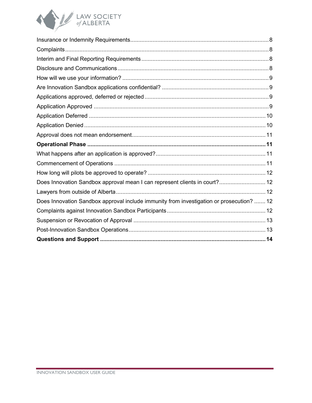

| Does Innovation Sandbox approval mean I can represent clients in court? 12               |
|------------------------------------------------------------------------------------------|
|                                                                                          |
| Does Innovation Sandbox approval include immunity from investigation or prosecution?  12 |
|                                                                                          |
|                                                                                          |
|                                                                                          |
|                                                                                          |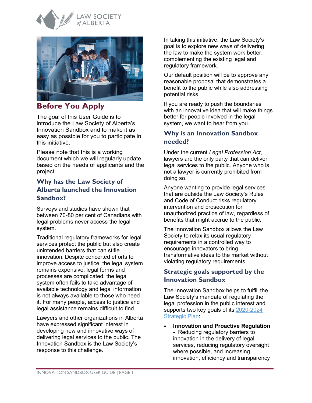



# <span id="page-3-0"></span>**Before You Apply**

The goal of this User Guide is to introduce the Law Society of Alberta's Innovation Sandbox and to make it as easy as possible for you to participate in this initiative.

Please note that this is a working document which we will regularly update based on the needs of applicants and the project.

#### <span id="page-3-1"></span>**Why has the Law Society of Alberta launched the Innovation Sandbox?**

Surveys and studies have shown that between 70-80 per cent of Canadians with legal problems never access the legal system.

Traditional regulatory frameworks for legal services protect the public but also create unintended barriers that can stifle innovation. Despite concerted efforts to improve access to justice, the legal system remains expensive, legal forms and processes are complicated, the legal system often fails to take advantage of available technology and legal information is not always available to those who need it. For many people, access to justice and legal assistance remains difficult to find.

Lawyers and other organizations in Alberta have expressed significant interest in developing new and innovative ways of delivering legal services to the public. The Innovation Sandbox is the Law Society's response to this challenge.

In taking this initiative, the Law Society's goal is to explore new ways of delivering the law to make the system work better, complementing the existing legal and regulatory framework.

Our default position will be to approve any reasonable proposal that demonstrates a benefit to the public while also addressing potential risks.

If you are ready to push the boundaries with an innovative idea that will make things better for people involved in the legal system, we want to hear from you.

#### <span id="page-3-2"></span>**Why is an Innovation Sandbox needed?**

Under the current *Legal Profession Act*, lawyers are the only party that can deliver legal services to the public. Anyone who is not a lawyer is currently prohibited from doing so.

Anyone wanting to provide legal services that are outside the Law Society's Rules and Code of Conduct risks regulatory intervention and prosecution for unauthorized practice of law, regardless of benefits that might accrue to the public.

The Innovation Sandbox allows the Law Society to relax its usual regulatory requirements in a controlled way to encourage innovators to bring transformative ideas to the market without violating regulatory requirements.

### <span id="page-3-3"></span>**[Strategic goals supported by the](https://www.lawsociety.ab.ca/law-society-of-alberta-introduces-innovation-sandbox/#accordion_1_collapse_21)  [Innovation Sandbox](https://www.lawsociety.ab.ca/law-society-of-alberta-introduces-innovation-sandbox/#accordion_1_collapse_21)**

The Innovation Sandbox helps to fulfill the Law Society's mandate of regulating the legal profession in the public interest and supports two key goals of its [2020-2024](https://www.lawsociety.ab.ca/about-us/strategic-plan/) [Strategic Plan:](https://www.lawsociety.ab.ca/about-us/strategic-plan/)

• **Innovation and Proactive Regulation -** Reducing regulatory barriers to innovation in the delivery of legal services, reducing regulatory oversight where possible, and increasing innovation, efficiency and transparency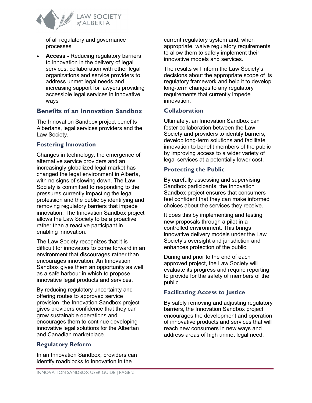

of all regulatory and governance processes

• **Access -** Reducing regulatory barriers to innovation in the delivery of legal services, collaboration with other legal organizations and service providers to address unmet legal needs and increasing support for lawyers providing accessible legal services in innovative ways

#### <span id="page-4-0"></span>**Benefits of an Innovation Sandbox**

The Innovation Sandbox project benefits Albertans, legal services providers and the Law Society.

#### <span id="page-4-1"></span>**Fostering Innovation**

Changes in technology, the emergence of alternative service providers and an increasingly globalized legal market has changed the legal environment in Alberta, with no signs of slowing down. The Law Society is committed to responding to the pressures currently impacting the legal profession and the public by identifying and removing regulatory barriers that impede innovation. The Innovation Sandbox project allows the Law Society to be a proactive rather than a reactive participant in enabling innovation.

The Law Society recognizes that it is difficult for innovators to come forward in an environment that discourages rather than encourages innovation. An Innovation Sandbox gives them an opportunity as well as a safe harbour in which to propose innovative legal products and services.

By reducing regulatory uncertainty and offering routes to approved service provision, the Innovation Sandbox project gives providers confidence that they can grow sustainable operations and encourages them to continue developing innovative legal solutions for the Albertan and Canadian marketplace.

#### <span id="page-4-2"></span>**Regulatory Reform**

In an Innovation Sandbox, providers can identify roadblocks to innovation in the

current regulatory system and, when appropriate, waive regulatory requirements to allow them to safely implement their innovative models and services.

The results will inform the Law Society's decisions about the appropriate scope of its regulatory framework and help it to develop long-term changes to any regulatory requirements that currently impede innovation.

#### <span id="page-4-3"></span>**Collaboration**

Ultimately, an Innovation Sandbox can foster collaboration between the Law Society and providers to identify barriers, develop long-term solutions and facilitate innovation to benefit members of the public by improving access to a wider variety of legal services at a potentially lower cost.

#### <span id="page-4-4"></span>**Protecting the Public**

By carefully assessing and supervising Sandbox participants, the Innovation Sandbox project ensures that consumers feel confident that they can make informed choices about the services they receive.

It does this by implementing and testing new proposals through a pilot in a controlled environment. This brings innovative delivery models under the Law Society's oversight and jurisdiction and enhances protection of the public.

During and prior to the end of each approved project, the Law Society will evaluate its progress and require reporting to provide for the safety of members of the public.

#### <span id="page-4-5"></span>**Facilitating Access to Justice**

By safely removing and adjusting regulatory barriers, the Innovation Sandbox project encourages the development and operation of innovative products and services that will reach new consumers in new ways and address areas of high unmet legal need.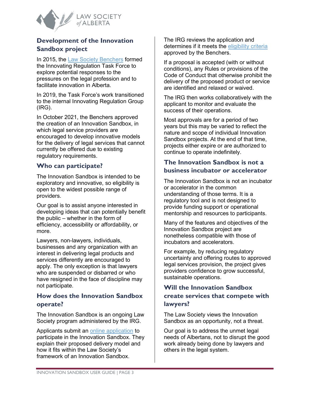

#### <span id="page-5-0"></span>**Development of the Innovation Sandbox project**

In 2015, the [Law Society Benchers](https://www.lawsociety.ab.ca/about-us/board-and-committees/) formed the Innovating Regulation Task Force to explore potential responses to the pressures on the legal profession and to facilitate innovation in Alberta.

In 2019, the Task Force's work transitioned to the internal Innovating Regulation Group (IRG).

In October 2021, the Benchers approved the creation of an Innovation Sandbox, in which legal service providers are encouraged to develop innovative models for the delivery of legal services that cannot currently be offered due to existing regulatory requirements.

#### <span id="page-5-1"></span>**Who can participate?**

The Innovation Sandbox is intended to be exploratory and innovative, so eligibility is open to the widest possible range of providers.

Our goal is to assist anyone interested in developing ideas that can potentially benefit the public – whether in the form of efficiency, accessibility or affordability, or more.

Lawyers, non-lawyers, individuals, businesses and any organization with an interest in delivering legal products and services differently are encouraged to apply. The only exception is that lawyers who are suspended or disbarred or who have resigned in the face of discipline may not participate.

#### <span id="page-5-2"></span>**How does the Innovation Sandbox operate?**

The Innovation Sandbox is an ongoing Law Society program administered by the IRG.

Applicants submit an [online application](https://www.lawsociety.ab.ca/about-us/key-initiatives/innovationsandbox/application-form/) to participate in the Innovation Sandbox. They explain their proposed delivery model and how it fits within the Law Society's framework of an Innovation Sandbox.

The IRG reviews the application and determines if it meets the [eligibility criteria](https://documents.lawsociety.ab.ca/wp-content/uploads/2021/10/01155944/Innovation-Sandbox-Eligibility-Criteria.pdf) approved by the Benchers.

If a proposal is accepted (with or without conditions), any Rules or provisions of the Code of Conduct that otherwise prohibit the delivery of the proposed product or service are identified and relaxed or waived.

The IRG then works collaboratively with the applicant to monitor and evaluate the success of their operations.

Most approvals are for a period of two years but this may be varied to reflect the nature and scope of individual Innovation Sandbox projects. At the end of that time, projects either expire or are authorized to continue to operate indefinitely.

#### <span id="page-5-3"></span>**The Innovation Sandbox is not a business incubator or accelerator**

The Innovation Sandbox is not an incubator or accelerator in the common understanding of those terms. It is a regulatory tool and is not designed to provide funding support or operational mentorship and resources to participants.

Many of the features and objectives of the Innovation Sandbox project are nonetheless compatible with those of incubators and accelerators.

For example, by reducing regulatory uncertainty and offering routes to approved legal services provision, the project gives providers confidence to grow successful, sustainable operations.

## <span id="page-5-4"></span>**[Will the Innovation Sandbox](https://www.lawsociety.ab.ca/law-society-of-alberta-introduces-innovation-sandbox/#accordion_1_collapse_21)  [create services that compete with](https://www.lawsociety.ab.ca/law-society-of-alberta-introduces-innovation-sandbox/#accordion_1_collapse_21)  [lawyers?](https://www.lawsociety.ab.ca/law-society-of-alberta-introduces-innovation-sandbox/#accordion_1_collapse_21)**

The Law Society views the Innovation Sandbox as an opportunity, not a threat.

Our goal is to address the unmet legal needs of Albertans, not to disrupt the good work already being done by lawyers and others in the legal system.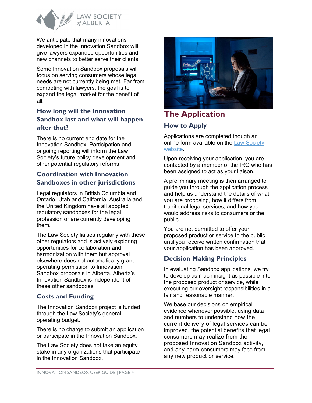

We anticipate that many innovations developed in the Innovation Sandbox will give lawyers expanded opportunities and new channels to better serve their clients.

Some Innovation Sandbox proposals will focus on serving consumers whose legal needs are not currently being met. Far from competing with lawyers, the goal is to expand the legal market for the benefit of all.

## <span id="page-6-0"></span>**[How long will the Innovation](https://www.lawsociety.bc.ca/our-initiatives/innovation-sandbox/frequently-asked-questions/#pnl11616)  [Sandbox last and what will happen](https://www.lawsociety.bc.ca/our-initiatives/innovation-sandbox/frequently-asked-questions/#pnl11616)  [after that?](https://www.lawsociety.bc.ca/our-initiatives/innovation-sandbox/frequently-asked-questions/#pnl11616)**

There is no current end date for the Innovation Sandbox. Participation and ongoing reporting will inform the Law Society's future policy development and other potential regulatory reforms.

#### <span id="page-6-1"></span>**Coordination with Innovation Sandboxes in other jurisdictions**

Legal regulators in British Columbia and Ontario, Utah and California, Australia and the United Kingdom have all adopted regulatory sandboxes for the legal profession or are currently developing them.

The Law Society liaises regularly with these other regulators and is actively exploring opportunities for collaboration and harmonization with them but approval elsewhere does not automatically grant operating permission to Innovation Sandbox proposals in Alberta. Alberta's Innovation Sandbox is independent of these other sandboxes.

#### <span id="page-6-2"></span>**Costs and Funding**

The Innovation Sandbox project is funded through the Law Society's general operating budget.

There is no charge to submit an application or participate in the Innovation Sandbox.

The Law Society does not take an equity stake in any organizations that participate in the Innovation Sandbox.



# <span id="page-6-3"></span>**The Application How to Apply**

<span id="page-6-4"></span>Applications are completed though an online form available on the [Law Society](https://www.lawsociety.ab.ca/about-us/key-initiatives/innovationsandbox/application-form/)  [website.](https://www.lawsociety.ab.ca/about-us/key-initiatives/innovationsandbox/application-form/)

Upon receiving your application, you are contacted by a member of the IRG who has been assigned to act as your liaison.

A preliminary meeting is then arranged to guide you through the application process and help us understand the details of what you are proposing, how it differs from traditional legal services, and how you would address risks to consumers or the public.

You are not permitted to offer your proposed product or service to the public until you receive written confirmation that your application has been approved.

# <span id="page-6-5"></span>**Decision Making Principles**

In evaluating Sandbox applications, we try to develop as much insight as possible into the proposed product or service, while executing our oversight responsibilities in a fair and reasonable manner.

We base our decisions on empirical evidence whenever possible, using data and numbers to understand how the current delivery of legal services can be improved, the potential benefits that legal consumers may realize from the proposed Innovation Sandbox activity, and any harm consumers may face from any new product or service.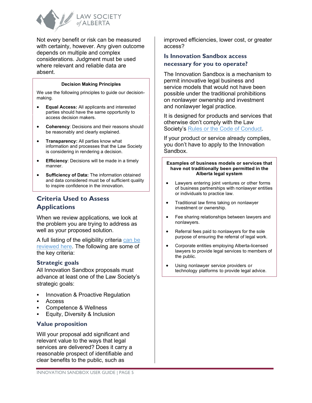

Not every benefit or risk can be measured with certainty, however. Any given outcome depends on multiple and complex considerations. Judgment must be used where relevant and reliable data are absent.

#### **Decision Making Principles**

We use the following principles to guide our decisionmaking.

- **Equal Access:** All applicants and interested parties should have the same opportunity to access decision makers.
- **Coherency**: Decisions and their reasons should be reasonably and clearly explained.
- **Transparency:** All parties know what information and processes that the Law Society is considering in rendering a decision.
- **Efficiency**: Decisions will be made in a timely manner.
- **Sufficiency of Data:** The information obtained and data considered must be of sufficient quality to inspire confidence in the innovation.

#### <span id="page-7-0"></span>**Criteria Used to Assess Applications**

When we review applications, we look at the problem you are trying to address as well as your proposed solution.

A full listing of the eligibility criteria [can be](https://documents.lawsociety.ab.ca/wp-content/uploads/2021/10/01155944/Innovation-Sandbox-Eligibility-Criteria.pdf)  [reviewed here.](https://documents.lawsociety.ab.ca/wp-content/uploads/2021/10/01155944/Innovation-Sandbox-Eligibility-Criteria.pdf) The following are some of the key criteria:

#### <span id="page-7-1"></span>**Strategic goals**

All Innovation Sandbox proposals must advance at least one of the Law Society's strategic goals:

- Innovation & Proactive Regulation
- Access
- Competence & Wellness
- Equity, Diversity & Inclusion

#### <span id="page-7-2"></span>**Value proposition**

Will your proposal add significant and relevant value to the ways that legal services are delivered? Does it carry a reasonable prospect of identifiable and clear benefits to the public, such as

improved efficiencies, lower cost, or greater access?

#### <span id="page-7-3"></span>**Is Innovation Sandbox access necessary for you to operate?**

The Innovation Sandbox is a mechanism to permit innovative legal business and service models that would not have been possible under the traditional prohibitions on nonlawyer ownership and investment and nonlawyer legal practice.

It is designed for products and services that otherwise don't comply with the Law Society's [Rules or the Code of Conduct.](https://www.lawsociety.ab.ca/regulation/act-code-and-rules/)

If your product or service already complies, you don't have to apply to the Innovation Sandbox.

#### **Examples of business models or services that have not traditionally been permitted in the Alberta legal system**

- Lawyers entering joint ventures or other forms of business partnerships with nonlawyer entities or individuals to practice law.
- Traditional law firms taking on nonlawyer investment or ownership.
- Fee sharing relationships between lawyers and nonlawyers.
- Referral fees paid to nonlawyers for the sole purpose of ensuring the referral of legal work.
- Corporate entities employing Alberta-licensed lawyers to provide legal services to members of the public.
- Using nonlawyer service providers or technology platforms to provide legal advice.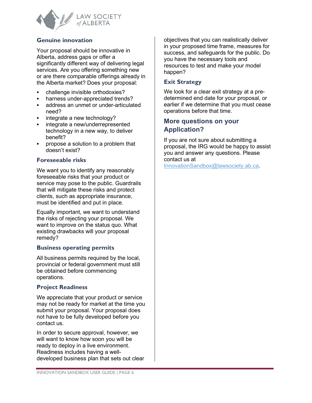

#### <span id="page-8-0"></span>**Genuine innovation**

Your proposal should be innovative in Alberta, address gaps or offer a significantly different way of delivering legal services. Are you offering something new or are there comparable offerings already in the Alberta market? Does your proposal:

- challenge invisible orthodoxies?
- harness under-appreciated trends?
- address an unmet or under-articulated need?
- integrate a new technology?
- **i** integrate a new/underrepresented technology in a new way, to deliver benefit?
- propose a solution to a problem that doesn't exist?

#### <span id="page-8-1"></span>**Foreseeable risks**

We want you to identify any reasonably foreseeable risks that your product or service may pose to the public. Guardrails that will mitigate these risks and protect clients, such as appropriate insurance, must be identified and put in place.

Equally important, we want to understand the risks of rejecting your proposal. We want to improve on the status quo. What existing drawbacks will your proposal remedy?

#### <span id="page-8-2"></span>**Business operating permits**

All business permits required by the local, provincial or federal government must still be obtained before commencing operations.

#### <span id="page-8-3"></span>**Project Readiness**

We appreciate that your product or service may not be ready for market at the time you submit your proposal. Your proposal does not have to be fully developed before you contact us.

In order to secure approval, however, we will want to know how soon you will be ready to deploy in a live environment. Readiness includes having a welldeveloped business plan that sets out clear objectives that you can realistically deliver in your proposed time frame, measures for success, and safeguards for the public. Do you have the necessary tools and resources to test and make your model happen?

#### <span id="page-8-4"></span>**Exit Strategy**

We look for a clear exit strategy at a predetermined end date for your proposal, or earlier if we determine that you must cease operations before that time.

#### <span id="page-8-5"></span>**More questions on your Application?**

If you are not sure about submitting a proposal, the IRG would be happy to assist you and answer any questions. Please contact us at

[InnovationSandbox@lawsociety.ab.ca.](mailto:InnovationSandbox@lawsociety.ab.ca)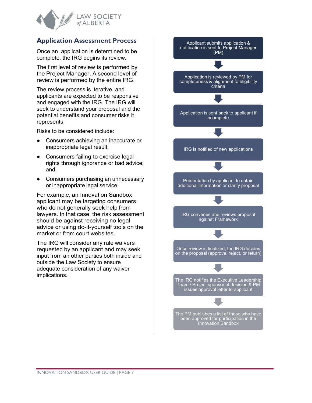

#### <span id="page-9-0"></span>**Application Assessment Process**

Once an application is determined to be complete, the IRG begins its review.

The first level of review is performed by the Project Manager. A second level of review is performed by the entire IRG.

The review process is iterative, and applicants are expected to be responsive and engaged with the IRG. The IRG will seek to understand your proposal and the potential benefits and consumer risks it represents.

Risks to be considered include:

- **●** Consumers achieving an inaccurate or inappropriate legal result;
- **●** Consumers failing to exercise legal rights through ignorance or bad advice; and,
- **●** Consumers purchasing an unnecessary or inappropriate legal service.

For example, an Innovation Sandbox applicant may be targeting consumers who do not generally seek help from lawyers. In that case, the risk assessment should be against receiving no legal advice or using do-it-yourself tools on the market or from court websites.

The IRG will consider any rule waivers requested by an applicant and may seek input from an other parties both inside and outside the Law Society to ensure adequate consideration of any waiver implications.

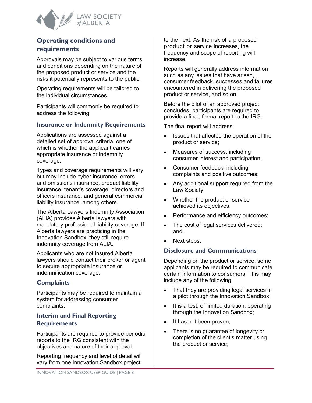

#### <span id="page-10-0"></span>**Operating conditions and requirements**

Approvals may be subject to various terms and conditions depending on the nature of the proposed product or service and the risks it potentially represents to the public.

Operating requirements will be tailored to the individual circumstances.

Participants will commonly be required to address the following:

#### <span id="page-10-1"></span>**Insurance or Indemnity Requirements**

Applications are assessed against a detailed set of approval criteria, one of which is whether the applicant carries appropriate insurance or indemnity coverage.

Types and coverage requirements will vary but may include cyber insurance, errors and omissions insurance, product liability insurance, tenant's coverage, directors and officers insurance, and general commercial liability insurance, among others.

The Alberta Lawyers Indemnity Association (ALIA) provides Alberta lawyers with mandatory professional liability coverage. If Alberta lawyers are practicing in the Innovation Sandbox, they still require indemnity coverage from ALIA.

Applicants who are not insured Alberta lawyers should contact their broker or agent to secure appropriate insurance or indemnification coverage.

#### <span id="page-10-2"></span>**Complaints**

Participants may be required to maintain a system for addressing consumer complaints[.](https://www.lawsociety.ab.ca/law-society-of-alberta-introduces-innovation-sandbox/#accordion_1_collapse_14)

#### <span id="page-10-3"></span>**[Interim and Final Reporting](https://www.lawsociety.ab.ca/law-society-of-alberta-introduces-innovation-sandbox/#accordion_1_collapse_14)  [Requirements](https://www.lawsociety.ab.ca/law-society-of-alberta-introduces-innovation-sandbox/#accordion_1_collapse_14)**

Participants are required to provide periodic reports to the IRG consistent with the objectives and nature of their approval.

Reporting frequency and level of detail will vary from one Innovation Sandbox project

to the next. As the risk of a proposed product or service increases, the frequency and scope of reporting will increase.

Reports will generally address information such as any issues that have arisen, consumer feedback, successes and failures encountered in delivering the proposed product or service, and so on.

Before the pilot of an approved project concludes, participants are required to provide a final, formal report to the IRG.

The final report will address:

- Issues that affected the operation of the product or service;
- Measures of success, including consumer interest and participation;
- Consumer feedback, including complaints and positive outcomes;
- Any additional support required from the Law Society;
- Whether the product or service achieved its objectives;
- Performance and efficiency outcomes;
- The cost of legal services delivered; and,
- Next steps.

#### <span id="page-10-4"></span>**Disclosure and Communications**

Depending on the product or service, some applicants may be required to communicate certain information to consumers. This may include any of the following:

- That they are providing legal services in a pilot through the Innovation Sandbox;
- It is a test, of limited duration, operating through the Innovation Sandbox;
- It has not been proven;
- There is no guarantee of longevity or completion of the client's matter using the product or service;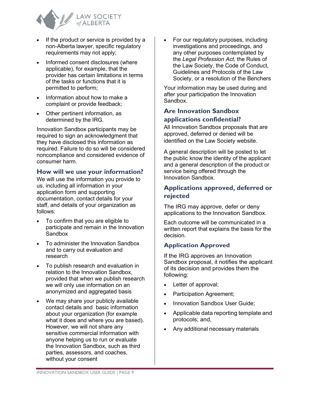

- If the product or service is provided by a non-Alberta lawyer, specific regulatory requirements may not apply;
- Informed consent disclosures (where applicable), for example, that the provider has certain limitations in terms of the tasks or functions that it is permitted to perform;
- Information about how to make a complaint or provide feedback;
- Other pertinent information, as determined by the IRG.

Innovation Sandbox participants may be required to sign an acknowledgment that they have disclosed this information as required. Failure to do so will be considered noncompliance and considered evidence of consumer harm.

#### <span id="page-11-0"></span>**How will we use your information?**

We will use the information you provide to us, including all information in your application form and supporting documentation, contact details for your staff, and details of your organization as follows:

- To confirm that you are eligible to participate and remain in the Innovation **Sandbox**
- To administer the Innovation Sandbox and to carry out evaluation and research
- To publish research and evaluation in relation to the Innovation Sandbox, provided that when we publish research we will only use information on an anonymized and aggregated basis
- We may share your publicly available contact details and basic information about your organization (for example what it does and where you are based). However, we will not share any sensitive commercial information with anyone helping us to run or evaluate the Innovation Sandbox, such as third parties, assessors, and coaches, without your consent

• For our regulatory purposes, including investigations and proceedings, and any other purposes contemplated by the *Legal Profession Act,* the Rules of the Law Society, the Code of Conduct, Guidelines and Protocols of the Law Society, or a resolution of the Benchers

Your information may be used during and after your participation the Innovation Sandbox.

#### <span id="page-11-1"></span>**Are [Innovation](https://www.lawsociety.bc.ca/our-initiatives/innovation-sandbox/frequently-asked-questions/#pnl11610) Sandbox [applications confidential?](https://www.lawsociety.bc.ca/our-initiatives/innovation-sandbox/frequently-asked-questions/#pnl11610)**

All Innovation Sandbox proposals that are approved, deferred or denied will be identified on the Law Society website.

A general description will be posted to let the public know the identity of the applicant and a general description of the product or service being offered through the Innovation Sandbox.

#### <span id="page-11-2"></span>**Applications approved, deferred or rejected**

The IRG may approve, defer or deny applications to the Innovation Sandbox.

Each outcome will be communicated in a written report that explains the basis for the decision.

#### <span id="page-11-3"></span>**Application Approved**

If the IRG approves an Innovation Sandbox proposal, it notifies the applicant of its decision and provides them the following:

- Letter of approval;
- Participation Agreement;
- Innovation Sandbox User Guide:
- Applicable data reporting template and protocols; and,
- Any additional necessary materials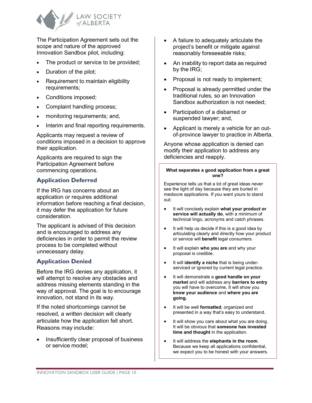

The Participation Agreement sets out the scope and nature of the approved Innovation Sandbox pilot, including:

- The product or service to be provided;
- Duration of the pilot;
- Requirement to maintain eligibility requirements;
- Conditions imposed;
- Complaint handling process;
- monitoring requirements; and,
- Interim and final reporting requirements.

Applicants may request a review of conditions imposed in a decision to approve their application.

Applicants are required to sign the Participation Agreement before commencing operations.

#### <span id="page-12-0"></span>**Application Deferred**

If the IRG has concerns about an application or requires additional information before reaching a final decision, it may defer the application for future consideration.

The applicant is advised of this decision and is encouraged to address any deficiencies in order to permit the review process to be completed without unnecessary delay.

#### <span id="page-12-1"></span>**Application Denied**

Before the IRG denies any application, it will attempt to resolve any obstacles and address missing elements standing in the way of approval. The goal is to encourage innovation, not stand in its way.

If the noted shortcomings cannot be resolved, a written decision will clearly articulate how the application fell short. Reasons may include:

• Insufficiently clear proposal of business or service model;

- A failure to adequately articulate the project's benefit or mitigate against reasonably foreseeable risks;
- An inability to report data as required by the IRG;
- Proposal is not ready to implement;
- Proposal is already permitted under the traditional rules, so an Innovation Sandbox authorization is not needed;
- Participation of a disbarred or suspended lawyer; and,
- Applicant is merely a vehicle for an outof-province lawyer to practice in Alberta.

Anyone whose application is denied can modify their application to address any deficiencies and reapply.

#### **What separates a good application from a great one?**

Experience tells us that a lot of great ideas never see the light of day because they are buried in mediocre applications. If you want yours to stand out:

- It will concisely explain **what your product or service will actually do**, with a minimum of technical lingo, acronyms and catch phrases.
- It will help us decide if this is a good idea by articulating clearly and directly how your product or service will **benefit** legal consumers.
- It will explain **who you are** and why your proposal is credible.
- It will **identify a niche** that is being underserviced or ignored by current legal practice.
- It will demonstrate a **good handle on your market** and will address any **barriers to entry** you will have to overcome**.** It will show you **know your audience** and **where you are going.**
- It will be well **formatted**, organized and presented in a way that's easy to understand.
- It will show you care about what you are doing. It will be obvious that **someone has invested time and thought** in the application.
- It will address the **elephants in the room**. Because we keep all applications confidential, we expect you to be honest with your answers.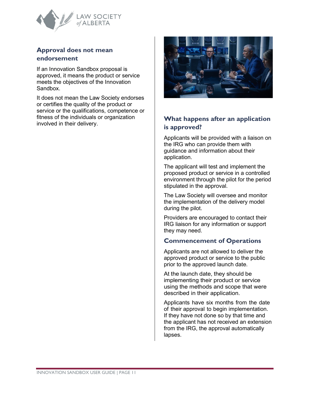

#### <span id="page-13-0"></span>**Approval does not mean endorsement**

If an Innovation Sandbox proposal is approved, it means the product or service meets the objectives of the Innovation Sandbox.

It does not mean the Law Society endorses or certifies the quality of the product or service or the qualifications, competence or fitness of the individuals or organization involved in their delivery. **What happens after an application** 



# <span id="page-13-2"></span><span id="page-13-1"></span>**is approved?**

Applicants will be provided with a liaison on the IRG who can provide them with guidance and information about their application.

The applicant will test and implement the proposed product or service in a controlled environment through the pilot for the period stipulated in the approval.

The Law Society will oversee and monitor the implementation of the delivery model during the pilot.

Providers are encouraged to contact their IRG liaison for any information or support they may need.

#### <span id="page-13-3"></span>**Commencement of Operations**

Applicants are not allowed to deliver the approved product or service to the public prior to the approved launch date.

At the launch date, they should be implementing their product or service using the methods and scope that were described in their application.

Applicants have six months from the date of their approval to begin implementation. If they have not done so by that time and the applicant has not received an extension from the IRG, the approval automatically lapses.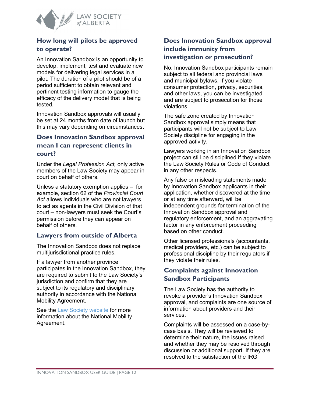

#### <span id="page-14-0"></span>**How long will pilots be approved to operate?**

An Innovation Sandbox is an opportunity to develop, implement, test and evaluate new models for delivering legal services in a pilot. The duration of a pilot should be of a period sufficient to obtain relevant and pertinent testing information to gauge the efficacy of the delivery model that is being tested.

Innovation Sandbox approvals will usually be set at 24 months from date of launch but this may vary depending on circumstances.

#### <span id="page-14-1"></span>**[Does Innovation Sandbox approval](https://www.lawsociety.ab.ca/law-society-of-alberta-introduces-innovation-sandbox/#accordion_1_collapse_15)  [mean I can represent clients](https://www.lawsociety.ab.ca/law-society-of-alberta-introduces-innovation-sandbox/#accordion_1_collapse_15) in [court?](https://www.lawsociety.ab.ca/law-society-of-alberta-introduces-innovation-sandbox/#accordion_1_collapse_15)**

Under the *Legal Profession Act,* only active members of the Law Society may appear in court on behalf of others.

Unless a statutory exemption applies – for example, section 62 of the *Provincial Court Act* allows individuals who are not lawyers to act as agents in the Civil Division of that court – non-lawyers must seek the Court's permission before they can appear on behalf of others.

#### <span id="page-14-2"></span>**[Lawyers from outside of Alberta](https://www.lawsociety.ab.ca/law-society-of-alberta-introduces-innovation-sandbox/#accordion_1_collapse_15)**

The Innovation Sandbox does not replace multijurisdictional practice rules.

If a lawyer from another province participates in the Innovation Sandbox, they are required to submit to the Law Society's jurisdiction and confirm that they are subject to its regulatory and disciplinary authority in accordance with the National Mobility Agreement.

See the [Law Society website](https://www.lawsociety.ab.ca/resource-centre/key-resources/ethics-and-professionalism/working-remotely-applying-the-national-mobility-rules/) for more information about the National Mobility Agreement.

#### <span id="page-14-3"></span>**[Does Innovation Sandbox approval](https://www.lawsociety.ab.ca/law-society-of-alberta-introduces-innovation-sandbox/#accordion_1_collapse_15)  [include immunity from](https://www.lawsociety.ab.ca/law-society-of-alberta-introduces-innovation-sandbox/#accordion_1_collapse_15)  [investigation or prosecution?](https://www.lawsociety.ab.ca/law-society-of-alberta-introduces-innovation-sandbox/#accordion_1_collapse_15)**

No. Innovation Sandbox participants remain subject to all federal and provincial laws and municipal bylaws. If you violate consumer protection, privacy, securities, and other laws, you can be investigated and are subject to prosecution for those violations.

The safe zone created by Innovation Sandbox approval simply means that participants will not be subject to Law Society discipline for engaging in the approved activity.

Lawyers working in an Innovation Sandbox project can still be disciplined if they violate the Law Society Rules or Code of Conduct in any other respects.

Any false or misleading statements made by Innovation Sandbox applicants in their application, whether discovered at the time or at any time afterward, will be independent grounds for termination of the Innovation Sandbox approval and regulatory enforcement, and an aggravating factor in any enforcement proceeding based on other conduct.

Other licensed professionals (accountants, medical providers, etc.) can be subject to professional discipline [by their regulators if](https://www.lawsociety.ab.ca/law-society-of-alberta-introduces-innovation-sandbox/#accordion_1_collapse_16)  they violate their rules.

#### <span id="page-14-4"></span>**[Complaints against Innovation](https://www.lawsociety.ab.ca/law-society-of-alberta-introduces-innovation-sandbox/#accordion_1_collapse_16)  [Sandbox Participants](https://www.lawsociety.ab.ca/law-society-of-alberta-introduces-innovation-sandbox/#accordion_1_collapse_16)**

The Law Society has the authority to revoke a provider's Innovation Sandbox approval, and complaints are one source of information about providers and their services.

Complaints will be assessed on a case-bycase basis. They will be reviewed to determine their nature, the issues raised and whether they may be resolved through discussion or additional support. If they are resolved to the satisfaction of the IRG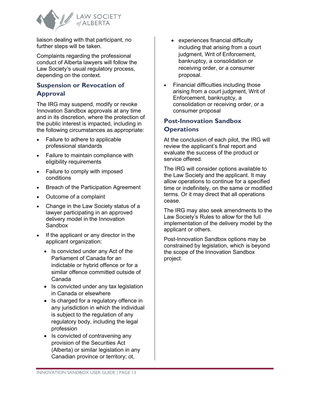

liaison dealing with that participant, no further steps will be taken.

Complaints regarding the professional conduct of Alberta lawyers will follow the Law Society's usual regulatory process, depending on the context.

#### <span id="page-15-0"></span>**Suspension or Revocation of Approval**

The IRG may suspend, modify or revoke Innovation Sandbox approvals at any time and in its discretion, where the protection of the public interest is impacted, including in the following circumstances as appropriate:

- Failure to adhere to applicable professional standards
- Failure to maintain compliance with eligibility requirements
- Failure to comply with imposed conditions
- Breach of the Participation Agreement
- Outcome of a complaint
- Change in the Law Society status of a lawyer participating in an approved delivery model in the Innovation Sandbox
- If the applicant or any director in the applicant organization:
	- Is convicted under any Act of the Parliament of Canada for an indictable or hybrid offence or for a similar offence committed outside of Canada
	- Is convicted under any tax legislation in Canada or elsewhere
	- Is charged for a regulatory offence in any jurisdiction in which the individual is subject to the regulation of any regulatory body, including the legal profession
	- Is convicted of contravening any provision of the Securities Act (Alberta) or similar legislation in any Canadian province or territory; ot,
- experiences financial difficulty including that arising from a court judgment, Writ of Enforcement, bankruptcy, a consolidation or receiving order, or a consumer proposal.
- Financial difficulties including those arising from a court judgment, Writ of Enforcement, bankruptcy, a consolidation or re[ceiving order, or a](https://www.lawsociety.ab.ca/law-society-of-alberta-introduces-innovation-sandbox/#accordion_1_collapse_18)  consumer proposal

## <span id="page-15-1"></span>**[Post-Innovation Sandbox](https://www.lawsociety.ab.ca/law-society-of-alberta-introduces-innovation-sandbox/#accordion_1_collapse_18) [Operations](https://www.lawsociety.ab.ca/law-society-of-alberta-introduces-innovation-sandbox/#accordion_1_collapse_18)**

At the conclusion of each pilot, the IRG will review the applicant's final report and evaluate the success of the product or service offered.

The IRG will consider options available to the Law Society and the applicant. It may allow operations to continue for a specified time or indefinitely, on the same or modified terms. Or it may direct that all operations cease.

The IRG may also seek amendments to the Law Society's Rules to allow for the full implementation of the delivery model by the applicant or others.

Post-Innovation Sandbox options may be constrained by legislation, which is beyond the scope of the Innovation Sandbox project.